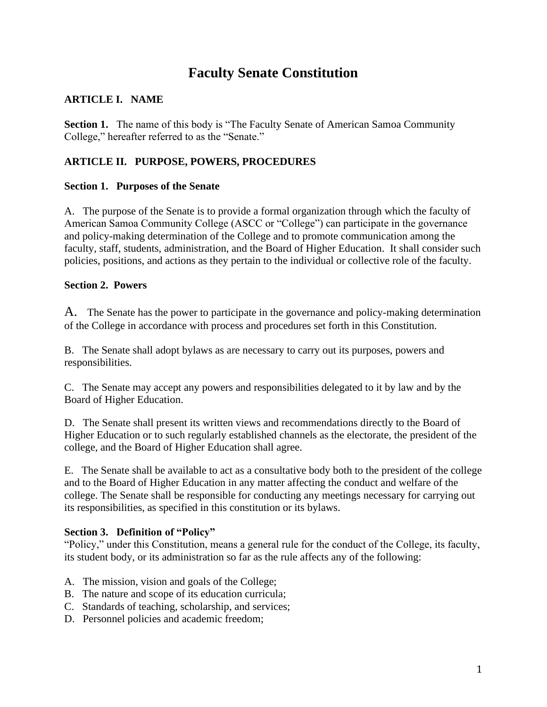# **Faculty Senate Constitution**

### **ARTICLE I. NAME**

**Section 1.** The name of this body is "The Faculty Senate of American Samoa Community" College," hereafter referred to as the "Senate."

# **ARTICLE II. PURPOSE, POWERS, PROCEDURES**

### **Section 1. Purposes of the Senate**

A. The purpose of the Senate is to provide a formal organization through which the faculty of American Samoa Community College (ASCC or "College") can participate in the governance and policy-making determination of the College and to promote communication among the faculty, staff, students, administration, and the Board of Higher Education. It shall consider such policies, positions, and actions as they pertain to the individual or collective role of the faculty.

### **Section 2. Powers**

A. The Senate has the power to participate in the governance and policy-making determination of the College in accordance with process and procedures set forth in this Constitution.

B. The Senate shall adopt bylaws as are necessary to carry out its purposes, powers and responsibilities.

C. The Senate may accept any powers and responsibilities delegated to it by law and by the Board of Higher Education.

D. The Senate shall present its written views and recommendations directly to the Board of Higher Education or to such regularly established channels as the electorate, the president of the college, and the Board of Higher Education shall agree.

E. The Senate shall be available to act as a consultative body both to the president of the college and to the Board of Higher Education in any matter affecting the conduct and welfare of the college. The Senate shall be responsible for conducting any meetings necessary for carrying out its responsibilities, as specified in this constitution or its bylaws.

#### **Section 3. Definition of "Policy"**

"Policy," under this Constitution, means a general rule for the conduct of the College, its faculty, its student body, or its administration so far as the rule affects any of the following:

- A. The mission, vision and goals of the College;
- B. The nature and scope of its education curricula;
- C. Standards of teaching, scholarship, and services;
- D. Personnel policies and academic freedom;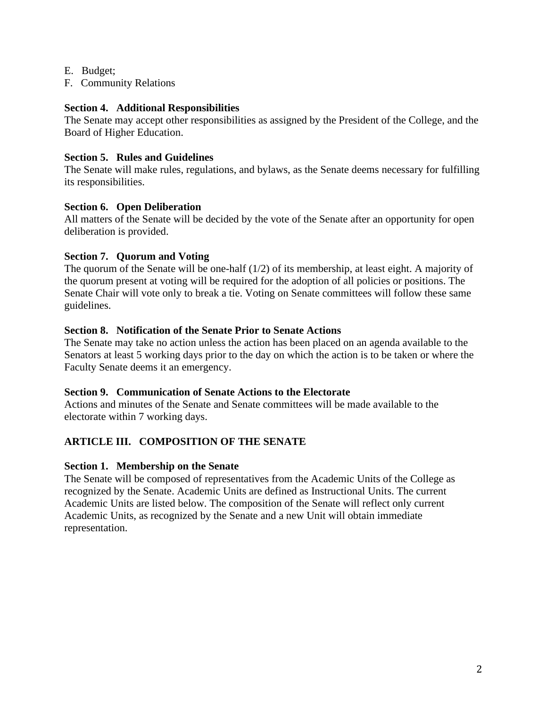- E. Budget;
- F. Community Relations

#### **Section 4. Additional Responsibilities**

The Senate may accept other responsibilities as assigned by the President of the College, and the Board of Higher Education.

### **Section 5. Rules and Guidelines**

The Senate will make rules, regulations, and bylaws, as the Senate deems necessary for fulfilling its responsibilities.

#### **Section 6. Open Deliberation**

All matters of the Senate will be decided by the vote of the Senate after an opportunity for open deliberation is provided.

### **Section 7. Quorum and Voting**

The quorum of the Senate will be one-half (1/2) of its membership, at least eight. A majority of the quorum present at voting will be required for the adoption of all policies or positions. The Senate Chair will vote only to break a tie. Voting on Senate committees will follow these same guidelines.

### **Section 8. Notification of the Senate Prior to Senate Actions**

The Senate may take no action unless the action has been placed on an agenda available to the Senators at least 5 working days prior to the day on which the action is to be taken or where the Faculty Senate deems it an emergency.

#### **Section 9. Communication of Senate Actions to the Electorate**

Actions and minutes of the Senate and Senate committees will be made available to the electorate within 7 working days.

# **ARTICLE III. COMPOSITION OF THE SENATE**

# **Section 1. Membership on the Senate**

The Senate will be composed of representatives from the Academic Units of the College as recognized by the Senate. Academic Units are defined as Instructional Units. The current Academic Units are listed below. The composition of the Senate will reflect only current Academic Units, as recognized by the Senate and a new Unit will obtain immediate representation.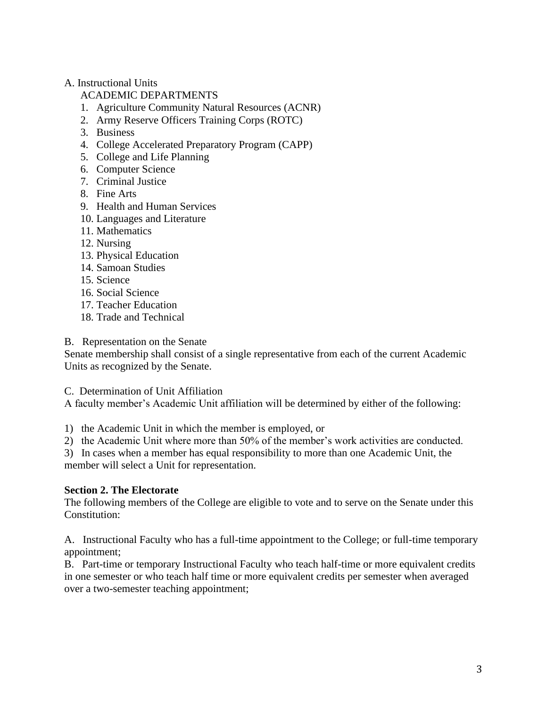# A. Instructional Units

# ACADEMIC DEPARTMENTS

- 1. Agriculture [Community Natural Resources](http://www.amsamoa.edu/departments/ag.html) (ACNR)
- 2. [Army Reserve Officers Training Corps \(ROTC\)](http://www.amsamoa.edu/specialprograms/rotc.html)
- 3. [Business](http://www.amsamoa.edu/departments/business.html)
- 4. College Accelerated Preparatory Program (CAPP)
- 5. [College and Life Planning](http://www.amsamoa.edu/departments/clplanning.html)
- 6. Computer Science
- 7. [Criminal Justice](http://www.amsamoa.edu/departments/justice.html)
- 8. [Fine Arts](http://www.amsamoa.edu/departments/art.html)
- 9. [Health and Human Services](http://www.amsamoa.edu/departments/health.html)
- 10. [Languages and Literature](http://www.amsamoa.edu/departments/languageslit.html)
- 11. [Mathematics](http://www.amsamoa.edu/departments/math.html)
- 12. [Nursing](http://www.amsamoa.edu/departments/nursing.html)
- 13. [Physical Education](http://www.amsamoa.edu/departments/pe.html)
- 14. [Samoan Studies](http://www.amsamoa.edu/departments/samoan.html)
- 15. [Science](http://www.amsamoa.edu/departments/science.html)
- 16. [Social Science](http://www.amsamoa.edu/departments/socscience.html)
- 17. [Teacher Education](http://www.amsamoa.edu/departments/education.html)
- 18. Trade and Technical

B. Representation on the Senate

Senate membership shall consist of a single representative from each of the current Academic Units as recognized by the Senate.

C. Determination of Unit Affiliation

A faculty member's Academic Unit affiliation will be determined by either of the following:

1) the Academic Unit in which the member is employed, or

2) the Academic Unit where more than 50% of the member's work activities are conducted.

3) In cases when a member has equal responsibility to more than one Academic Unit, the

member will select a Unit for representation.

# **Section 2. The Electorate**

The following members of the College are eligible to vote and to serve on the Senate under this Constitution:

A. Instructional Faculty who has a full-time appointment to the College; or full-time temporary appointment;

B. Part-time or temporary Instructional Faculty who teach half-time or more equivalent credits in one semester or who teach half time or more equivalent credits per semester when averaged over a two-semester teaching appointment;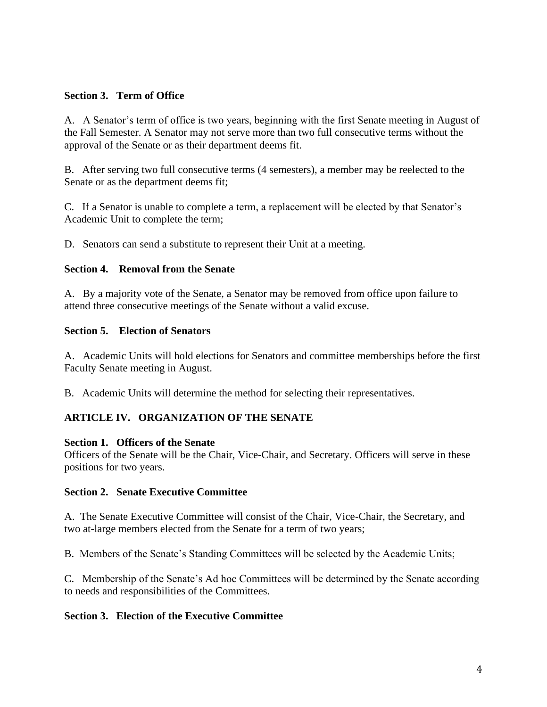### **Section 3. Term of Office**

A. A Senator's term of office is two years, beginning with the first Senate meeting in August of the Fall Semester. A Senator may not serve more than two full consecutive terms without the approval of the Senate or as their department deems fit.

B. After serving two full consecutive terms (4 semesters), a member may be reelected to the Senate or as the department deems fit;

C. If a Senator is unable to complete a term, a replacement will be elected by that Senator's Academic Unit to complete the term;

D. Senators can send a substitute to represent their Unit at a meeting.

#### **Section 4. Removal from the Senate**

A. By a majority vote of the Senate, a Senator may be removed from office upon failure to attend three consecutive meetings of the Senate without a valid excuse.

### **Section 5. Election of Senators**

A. Academic Units will hold elections for Senators and committee memberships before the first Faculty Senate meeting in August.

B. Academic Units will determine the method for selecting their representatives.

# **ARTICLE IV. ORGANIZATION OF THE SENATE**

#### **Section 1. Officers of the Senate**

Officers of the Senate will be the Chair, Vice-Chair, and Secretary. Officers will serve in these positions for two years.

#### **Section 2. Senate Executive Committee**

A. The Senate Executive Committee will consist of the Chair, Vice-Chair, the Secretary, and two at-large members elected from the Senate for a term of two years;

B. Members of the Senate's Standing Committees will be selected by the Academic Units;

C. Membership of the Senate's Ad hoc Committees will be determined by the Senate according to needs and responsibilities of the Committees.

#### **Section 3. Election of the Executive Committee**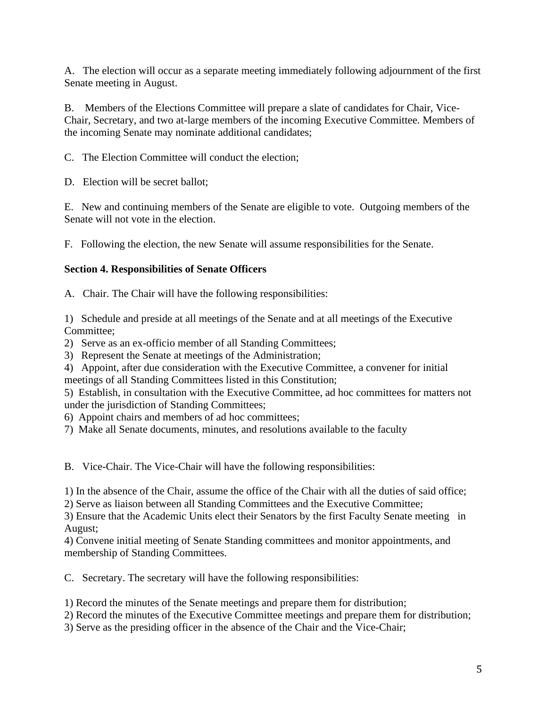A. The election will occur as a separate meeting immediately following adjournment of the first Senate meeting in August.

B. Members of the Elections Committee will prepare a slate of candidates for Chair, Vice-Chair, Secretary, and two at-large members of the incoming Executive Committee. Members of the incoming Senate may nominate additional candidates;

C. The Election Committee will conduct the election;

D. Election will be secret ballot:

E. New and continuing members of the Senate are eligible to vote. Outgoing members of the Senate will not vote in the election.

F. Following the election, the new Senate will assume responsibilities for the Senate.

# **Section 4. Responsibilities of Senate Officers**

A. Chair. The Chair will have the following responsibilities:

1) Schedule and preside at all meetings of the Senate and at all meetings of the Executive Committee;

2) Serve as an ex-officio member of all Standing Committees;

3) Represent the Senate at meetings of the Administration;

4) Appoint, after due consideration with the Executive Committee, a convener for initial meetings of all Standing Committees listed in this Constitution;

5) Establish, in consultation with the Executive Committee, ad hoc committees for matters not under the jurisdiction of Standing Committees;

6) Appoint chairs and members of ad hoc committees;

7) Make all Senate documents, minutes, and resolutions available to the faculty

B. Vice-Chair. The Vice-Chair will have the following responsibilities:

1) In the absence of the Chair, assume the office of the Chair with all the duties of said office;

2) Serve as liaison between all Standing Committees and the Executive Committee;

3) Ensure that the Academic Units elect their Senators by the first Faculty Senate meeting in August;

4) Convene initial meeting of Senate Standing committees and monitor appointments, and membership of Standing Committees.

C. Secretary. The secretary will have the following responsibilities:

1) Record the minutes of the Senate meetings and prepare them for distribution;

2) Record the minutes of the Executive Committee meetings and prepare them for distribution;

3) Serve as the presiding officer in the absence of the Chair and the Vice-Chair;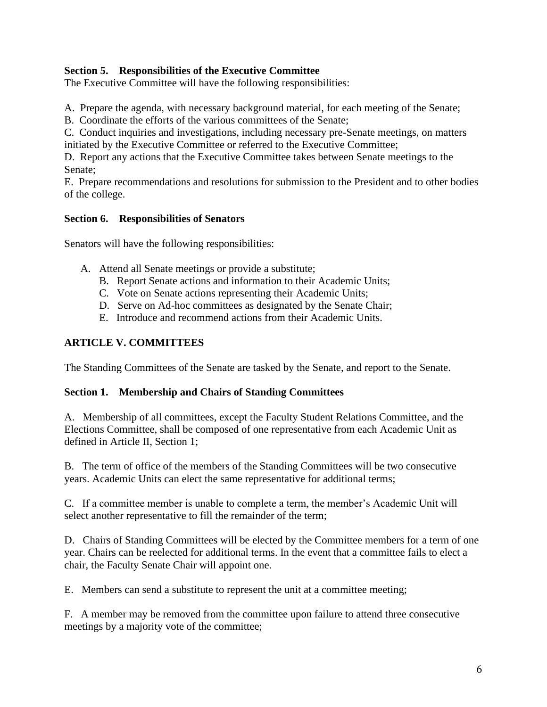# **Section 5. Responsibilities of the Executive Committee**

The Executive Committee will have the following responsibilities:

A. Prepare the agenda, with necessary background material, for each meeting of the Senate;

B. Coordinate the efforts of the various committees of the Senate;

C. Conduct inquiries and investigations, including necessary pre-Senate meetings, on matters initiated by the Executive Committee or referred to the Executive Committee;

D. Report any actions that the Executive Committee takes between Senate meetings to the Senate;

E. Prepare recommendations and resolutions for submission to the President and to other bodies of the college.

# **Section 6. Responsibilities of Senators**

Senators will have the following responsibilities:

- A. Attend all Senate meetings or provide a substitute;
	- B. Report Senate actions and information to their Academic Units;
	- C. Vote on Senate actions representing their Academic Units;
	- D. Serve on Ad-hoc committees as designated by the Senate Chair;
	- E. Introduce and recommend actions from their Academic Units.

# **ARTICLE V. COMMITTEES**

The Standing Committees of the Senate are tasked by the Senate, and report to the Senate.

#### **Section 1. Membership and Chairs of Standing Committees**

A. Membership of all committees, except the Faculty Student Relations Committee, and the Elections Committee, shall be composed of one representative from each Academic Unit as defined in Article II, Section 1;

B. The term of office of the members of the Standing Committees will be two consecutive years. Academic Units can elect the same representative for additional terms;

C. If a committee member is unable to complete a term, the member's Academic Unit will select another representative to fill the remainder of the term;

D. Chairs of Standing Committees will be elected by the Committee members for a term of one year. Chairs can be reelected for additional terms. In the event that a committee fails to elect a chair, the Faculty Senate Chair will appoint one.

E. Members can send a substitute to represent the unit at a committee meeting;

F. A member may be removed from the committee upon failure to attend three consecutive meetings by a majority vote of the committee;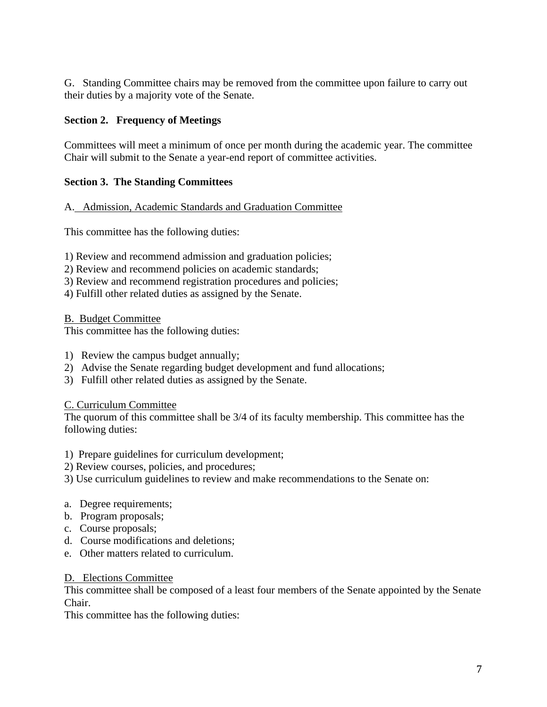G. Standing Committee chairs may be removed from the committee upon failure to carry out their duties by a majority vote of the Senate.

# **Section 2. Frequency of Meetings**

Committees will meet a minimum of once per month during the academic year. The committee Chair will submit to the Senate a year-end report of committee activities.

# **Section 3. The Standing Committees**

### A. Admission, Academic Standards and Graduation Committee

This committee has the following duties:

1) Review and recommend admission and graduation policies;

- 2) Review and recommend policies on academic standards;
- 3) Review and recommend registration procedures and policies;
- 4) Fulfill other related duties as assigned by the Senate.

B. Budget Committee

This committee has the following duties:

- 1) Review the campus budget annually;
- 2) Advise the Senate regarding budget development and fund allocations;
- 3) Fulfill other related duties as assigned by the Senate.

# C. Curriculum Committee

The quorum of this committee shall be 3/4 of its faculty membership. This committee has the following duties:

- 1) Prepare guidelines for curriculum development;
- 2) Review courses, policies, and procedures;
- 3) Use curriculum guidelines to review and make recommendations to the Senate on:
- a. Degree requirements;
- b. Program proposals;
- c. Course proposals;
- d. Course modifications and deletions;
- e. Other matters related to curriculum.

#### D. Elections Committee

This committee shall be composed of a least four members of the Senate appointed by the Senate Chair.

This committee has the following duties: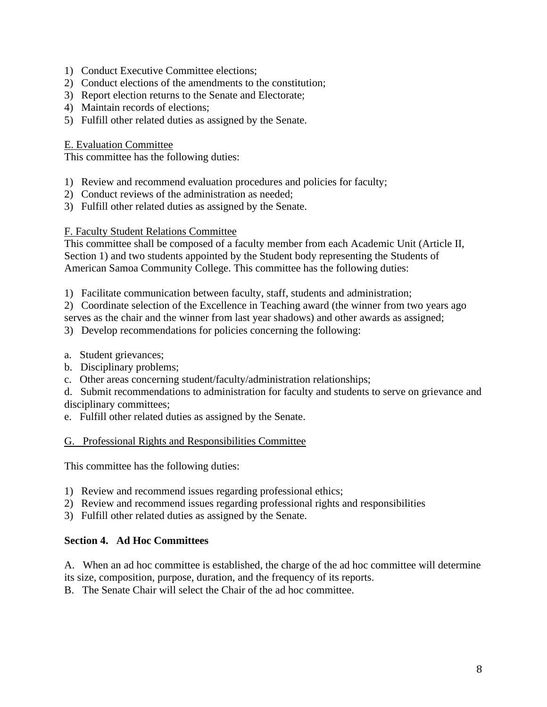- 1) Conduct Executive Committee elections;
- 2) Conduct elections of the amendments to the constitution;
- 3) Report election returns to the Senate and Electorate;
- 4) Maintain records of elections;
- 5) Fulfill other related duties as assigned by the Senate.

#### E. Evaluation Committee

This committee has the following duties:

- 1) Review and recommend evaluation procedures and policies for faculty;
- 2) Conduct reviews of the administration as needed;
- 3) Fulfill other related duties as assigned by the Senate.

### F. Faculty Student Relations Committee

This committee shall be composed of a faculty member from each Academic Unit (Article II, Section 1) and two students appointed by the Student body representing the Students of American Samoa Community College. This committee has the following duties:

1) Facilitate communication between faculty, staff, students and administration;

2) Coordinate selection of the Excellence in Teaching award (the winner from two years ago

serves as the chair and the winner from last year shadows) and other awards as assigned;

3) Develop recommendations for policies concerning the following:

- a. Student grievances;
- b. Disciplinary problems;
- c. Other areas concerning student/faculty/administration relationships;

d. Submit recommendations to administration for faculty and students to serve on grievance and disciplinary committees;

e. Fulfill other related duties as assigned by the Senate.

#### G. Professional Rights and Responsibilities Committee

This committee has the following duties:

- 1) Review and recommend issues regarding professional ethics;
- 2) Review and recommend issues regarding professional rights and responsibilities
- 3) Fulfill other related duties as assigned by the Senate.

# **Section 4. Ad Hoc Committees**

A. When an ad hoc committee is established, the charge of the ad hoc committee will determine its size, composition, purpose, duration, and the frequency of its reports.

B. The Senate Chair will select the Chair of the ad hoc committee.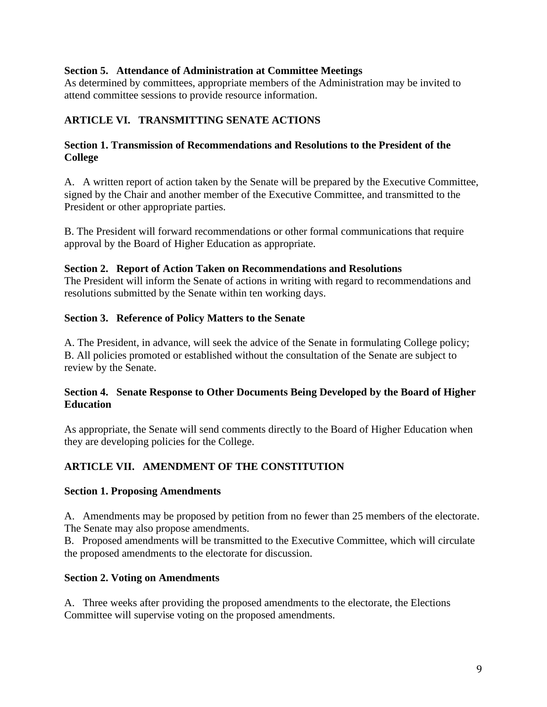### **Section 5. Attendance of Administration at Committee Meetings**

As determined by committees, appropriate members of the Administration may be invited to attend committee sessions to provide resource information.

# **ARTICLE VI. TRANSMITTING SENATE ACTIONS**

# **Section 1. Transmission of Recommendations and Resolutions to the President of the College**

A. A written report of action taken by the Senate will be prepared by the Executive Committee, signed by the Chair and another member of the Executive Committee, and transmitted to the President or other appropriate parties.

B. The President will forward recommendations or other formal communications that require approval by the Board of Higher Education as appropriate.

### **Section 2. Report of Action Taken on Recommendations and Resolutions**

The President will inform the Senate of actions in writing with regard to recommendations and resolutions submitted by the Senate within ten working days.

### **Section 3. Reference of Policy Matters to the Senate**

A. The President, in advance, will seek the advice of the Senate in formulating College policy; B. All policies promoted or established without the consultation of the Senate are subject to review by the Senate.

# **Section 4. Senate Response to Other Documents Being Developed by the Board of Higher Education**

As appropriate, the Senate will send comments directly to the Board of Higher Education when they are developing policies for the College.

# **ARTICLE VII. AMENDMENT OF THE CONSTITUTION**

#### **Section 1. Proposing Amendments**

A. Amendments may be proposed by petition from no fewer than 25 members of the electorate. The Senate may also propose amendments.

B. Proposed amendments will be transmitted to the Executive Committee, which will circulate the proposed amendments to the electorate for discussion.

#### **Section 2. Voting on Amendments**

A. Three weeks after providing the proposed amendments to the electorate, the Elections Committee will supervise voting on the proposed amendments.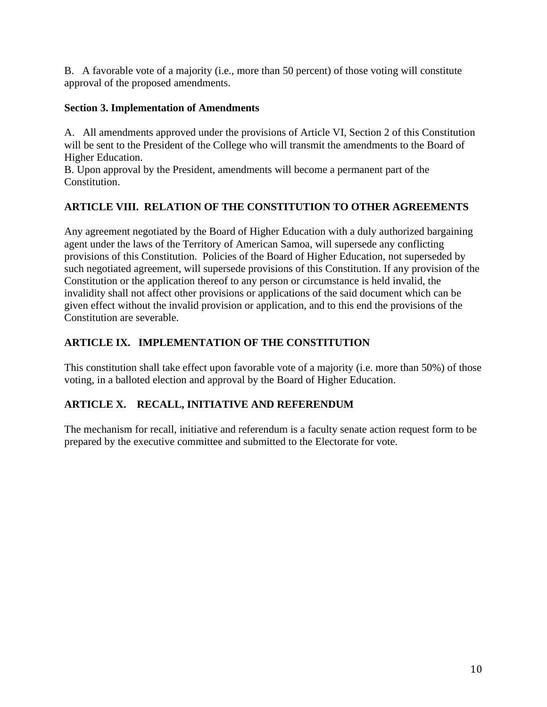B. A favorable vote of a majority (i.e., more than 50 percent) of those voting will constitute approval of the proposed amendments.

# **Section 3. Implementation of Amendments**

A. All amendments approved under the provisions of Article VI, Section 2 of this Constitution will be sent to the President of the College who will transmit the amendments to the Board of Higher Education.

B. Upon approval by the President, amendments will become a permanent part of the Constitution.

# **ARTICLE VIII. RELATION OF THE CONSTITUTION TO OTHER AGREEMENTS**

Any agreement negotiated by the Board of Higher Education with a duly authorized bargaining agent under the laws of the Territory of American Samoa, will supersede any conflicting provisions of this Constitution. Policies of the Board of Higher Education, not superseded by such negotiated agreement, will supersede provisions of this Constitution. If any provision of the Constitution or the application thereof to any person or circumstance is held invalid, the invalidity shall not affect other provisions or applications of the said document which can be given effect without the invalid provision or application, and to this end the provisions of the Constitution are severable.

# **ARTICLE IX. IMPLEMENTATION OF THE CONSTITUTION**

This constitution shall take effect upon favorable vote of a majority (i.e. more than 50%) of those voting, in a balloted election and approval by the Board of Higher Education.

# **ARTICLE X. RECALL, INITIATIVE AND REFERENDUM**

The mechanism for recall, initiative and referendum is a faculty senate action request form to be prepared by the executive committee and submitted to the Electorate for vote.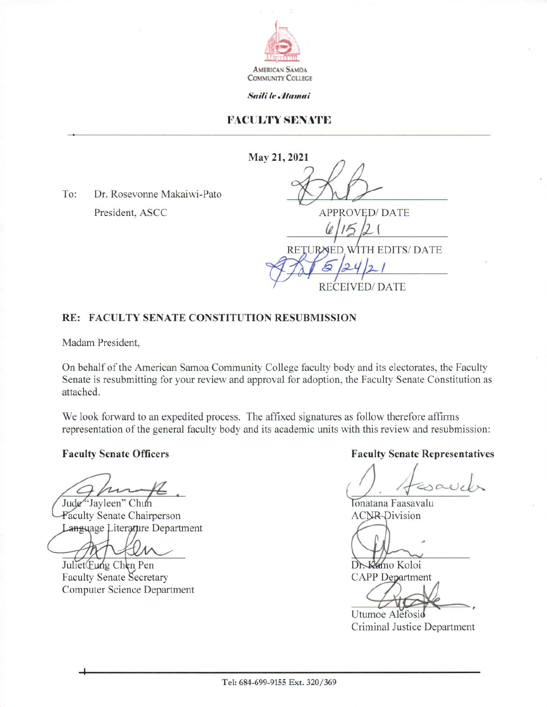

Saili le Atamai

### **FACULTY SENATE**

May 21, 2021

Dr. Rosevonne Makaiwi-Pato  $To:$ President, ASCC

**APPROVED/DATE** RETURNED WITH EDITS/ DATE

**RECEIVED/DATE** 

#### RE: FACULTY SENATE CONSTITUTION RESUBMISSION

Madam President.

On behalf of the American Samoa Community College faculty body and its electorates, the Faculty Senate is resubmitting for your review and approval for adoption, the Faculty Senate Constitution as attached.

We look forward to an expedited process. The affixed signatures as follow therefore affirms representation of the general faculty body and its academic units with this review and resubmission:

**Faculty Senate Officers** 

Jude "Jayleen" Chun

Faculty Senate Chairperson Language Literanure Department

Juliet Eung Chen Pen **Faculty Senate Secretary Computer Science Department** 

**Faculty Senate Representatives** 

Tonatana Faasavalu **ACNR-Division** 

Dr. Kamo Koloi **CAPP** Department

Utumoe Alefosio Criminal Justice Department